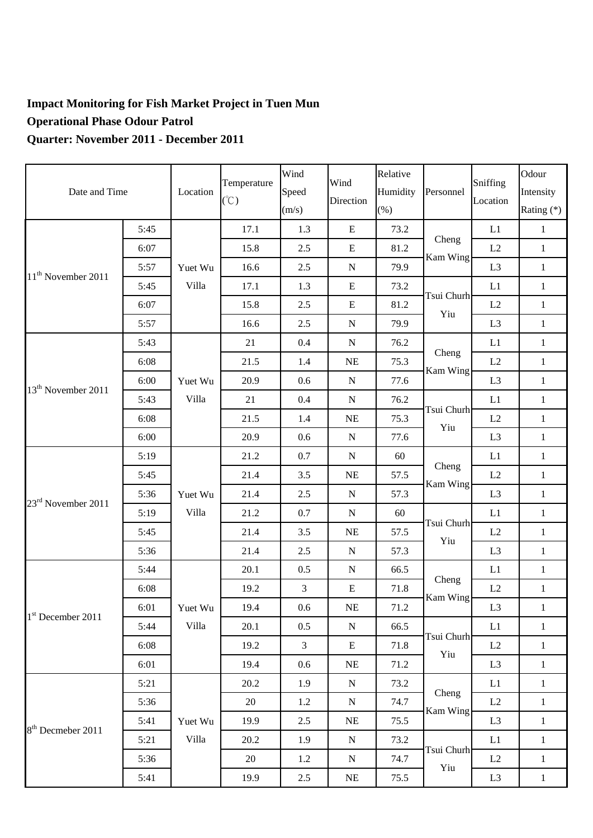## **Impact Monitoring for Fish Market Project in Tuen Mun Operational Phase Odour Patrol Quarter: November 2011 - December 2011**

| Date and Time                  |      | Location         | Temperature<br>$(\degree C)$ | Wind<br>Speed<br>(m/s) | Wind<br>Direction | Relative<br>Humidity<br>$(\%)$ | Personnel         | Sniffing<br>Location | Odour<br>Intensity<br>Rating (*) |
|--------------------------------|------|------------------|------------------------------|------------------------|-------------------|--------------------------------|-------------------|----------------------|----------------------------------|
| 11 <sup>th</sup> November 2011 | 5:45 | Yuet Wu<br>Villa | 17.1                         | 1.3                    | E                 | 73.2                           | Cheng<br>Kam Wing | L1                   | $\mathbf{1}$                     |
|                                | 6:07 |                  | 15.8                         | 2.5                    | ${\bf E}$         | 81.2                           |                   | L2                   | $\mathbf{1}$                     |
|                                | 5:57 |                  | 16.6                         | 2.5                    | ${\bf N}$         | 79.9                           |                   | L <sub>3</sub>       | $\mathbf{1}$                     |
|                                | 5:45 |                  | 17.1                         | 1.3                    | ${\bf E}$         | 73.2                           | Tsui Churh<br>Yiu | L1                   | $\mathbf{1}$                     |
|                                | 6:07 |                  | 15.8                         | $2.5\,$                | ${\bf E}$         | 81.2                           |                   | L2                   | $\mathbf{1}$                     |
|                                | 5:57 |                  | 16.6                         | 2.5                    | ${\bf N}$         | 79.9                           |                   | L <sub>3</sub>       | $\mathbf{1}$                     |
| 13 <sup>th</sup> November 2011 | 5:43 | Yuet Wu          | 21                           | 0.4                    | ${\bf N}$         | 76.2                           | Cheng<br>Kam Wing | L1                   | $\mathbf{1}$                     |
|                                | 6:08 |                  | 21.5                         | 1.4                    | NE                | 75.3                           |                   | L2                   | $\mathbf{1}$                     |
|                                | 6:00 |                  | 20.9                         | 0.6                    | $\mathbf N$       | 77.6                           |                   | L <sub>3</sub>       | $\mathbf{1}$                     |
|                                | 5:43 | Villa            | 21                           | 0.4                    | ${\bf N}$         | 76.2                           | Tsui Churh<br>Yiu | L1                   | $\mathbf{1}$                     |
|                                | 6:08 |                  | 21.5                         | 1.4                    | NE                | 75.3                           |                   | L2                   | $\mathbf{1}$                     |
|                                | 6:00 |                  | 20.9                         | 0.6                    | ${\bf N}$         | 77.6                           |                   | L <sub>3</sub>       | $\mathbf{1}$                     |
|                                | 5:19 | Yuet Wu<br>Villa | 21.2                         | 0.7                    | ${\bf N}$         | 60                             | Cheng<br>Kam Wing | L1                   | $\mathbf{1}$                     |
| 23 <sup>rd</sup> November 2011 | 5:45 |                  | 21.4                         | 3.5                    | <b>NE</b>         | 57.5                           |                   | L2                   | $\mathbf{1}$                     |
|                                | 5:36 |                  | 21.4                         | 2.5                    | ${\bf N}$         | 57.3                           |                   | L <sub>3</sub>       | $\mathbf{1}$                     |
|                                | 5:19 |                  | 21.2                         | 0.7                    | ${\bf N}$         | 60                             | Tsui Churh<br>Yiu | L1                   | $\mathbf{1}$                     |
|                                | 5:45 |                  | 21.4                         | 3.5                    | $\rm NE$          | 57.5                           |                   | L2                   | $\mathbf{1}$                     |
|                                | 5:36 |                  | 21.4                         | 2.5                    | ${\bf N}$         | 57.3                           |                   | L <sub>3</sub>       | $\mathbf{1}$                     |
| 1st December 2011              | 5:44 | Yuet Wu<br>Villa | 20.1                         | 0.5                    | ${\bf N}$         | 66.5                           | Cheng<br>Kam Wing | L1                   | $\mathbf{1}$                     |
|                                | 6:08 |                  | 19.2                         | $\mathfrak{Z}$         | ${\bf E}$         | 71.8                           |                   | L2                   | $\mathbf{1}$                     |
|                                | 6:01 |                  | 19.4                         | $0.6\,$                | NE                | 71.2                           |                   | L <sub>3</sub>       | $\mathbf{1}$                     |
|                                | 5:44 |                  | 20.1                         | 0.5                    | ${\bf N}$         | 66.5                           | Tsui Churh<br>Yiu | L1                   | $\mathbf{1}$                     |
|                                | 6:08 |                  | 19.2                         | $\mathfrak{Z}$         | E                 | 71.8                           |                   | L2                   | $\,1$                            |
|                                | 6:01 |                  | 19.4                         | 0.6                    | NE                | 71.2                           |                   | L <sub>3</sub>       | $\,1$                            |
| 8 <sup>th</sup> Decmeber 2011  | 5:21 | Yuet Wu<br>Villa | 20.2                         | 1.9                    | ${\bf N}$         | 73.2                           | Cheng<br>Kam Wing | L1                   | $\mathbf{1}$                     |
|                                | 5:36 |                  | 20                           | 1.2                    | ${\bf N}$         | 74.7                           |                   | L2                   | $\mathbf{1}$                     |
|                                | 5:41 |                  | 19.9                         | 2.5                    | NE                | 75.5                           |                   | L <sub>3</sub>       | $\mathbf{1}$                     |
|                                | 5:21 |                  | 20.2                         | 1.9                    | ${\bf N}$         | 73.2                           | Tsui Churh<br>Yiu | L1                   | $\mathbf{1}$                     |
|                                | 5:36 |                  | 20                           | 1.2                    | ${\bf N}$         | 74.7                           |                   | L2                   | $\,1$                            |
|                                | 5:41 |                  | 19.9                         | $2.5\,$                | $\rm NE$          | 75.5                           |                   | L <sub>3</sub>       | $\mathbf{1}$                     |